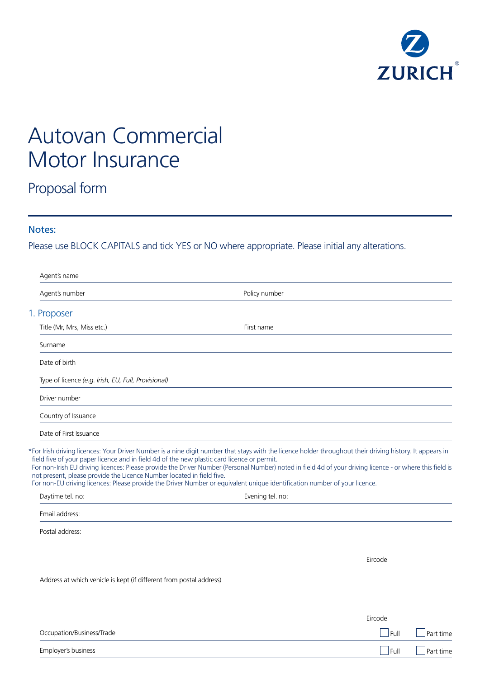

# Autovan Commercial Motor Insurance

## Proposal form

### Notes:

Please use BLOCK CAPITALS and tick YES or NO where appropriate. Please initial any alterations.

|  | Agent's name                                                          |                                                                                                                                                                                                                                                                                       |           |
|--|-----------------------------------------------------------------------|---------------------------------------------------------------------------------------------------------------------------------------------------------------------------------------------------------------------------------------------------------------------------------------|-----------|
|  | Agent's number                                                        | Policy number                                                                                                                                                                                                                                                                         |           |
|  | 1. Proposer                                                           |                                                                                                                                                                                                                                                                                       |           |
|  | Title (Mr, Mrs, Miss etc.)                                            | First name                                                                                                                                                                                                                                                                            |           |
|  | Surname                                                               |                                                                                                                                                                                                                                                                                       |           |
|  | Date of birth                                                         |                                                                                                                                                                                                                                                                                       |           |
|  | Type of licence (e.g. Irish, EU, Full, Provisional)                   |                                                                                                                                                                                                                                                                                       |           |
|  | Driver number                                                         |                                                                                                                                                                                                                                                                                       |           |
|  | Country of Issuance                                                   |                                                                                                                                                                                                                                                                                       |           |
|  | Date of First Issuance                                                |                                                                                                                                                                                                                                                                                       |           |
|  | not present, please provide the Licence Number located in field five. | For non-Irish EU driving licences: Please provide the Driver Number (Personal Number) noted in field 4d of your driving licence - or where this field is<br>For non-EU driving licences: Please provide the Driver Number or equivalent unique identification number of your licence. |           |
|  | Daytime tel. no:                                                      | Evening tel. no:                                                                                                                                                                                                                                                                      |           |
|  | Email address:                                                        |                                                                                                                                                                                                                                                                                       |           |
|  | Postal address:                                                       |                                                                                                                                                                                                                                                                                       |           |
|  |                                                                       | Eircode                                                                                                                                                                                                                                                                               |           |
|  | Address at which vehicle is kept (if different from postal address)   |                                                                                                                                                                                                                                                                                       |           |
|  |                                                                       |                                                                                                                                                                                                                                                                                       |           |
|  |                                                                       | Eircode                                                                                                                                                                                                                                                                               |           |
|  | Occupation/Business/Trade                                             | Full                                                                                                                                                                                                                                                                                  | Part time |
|  | Employer's business                                                   | Full                                                                                                                                                                                                                                                                                  | Part time |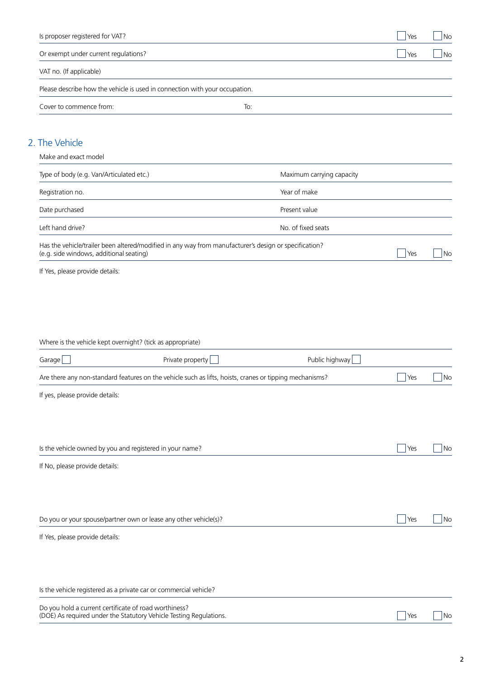| Is proposer registered for VAT?                                   |                                                                                                         |                           | Yes         | ∫No                |
|-------------------------------------------------------------------|---------------------------------------------------------------------------------------------------------|---------------------------|-------------|--------------------|
| Or exempt under current regulations?                              |                                                                                                         |                           | $\vert$ Yes | 」No                |
| VAT no. (If applicable)                                           |                                                                                                         |                           |             |                    |
|                                                                   | Please describe how the vehicle is used in connection with your occupation.                             |                           |             |                    |
| Cover to commence from:                                           |                                                                                                         | To:                       |             |                    |
|                                                                   |                                                                                                         |                           |             |                    |
| 2. The Vehicle                                                    |                                                                                                         |                           |             |                    |
| Make and exact model                                              |                                                                                                         |                           |             |                    |
| Type of body (e.g. Van/Articulated etc.)                          |                                                                                                         | Maximum carrying capacity |             |                    |
| Registration no.                                                  |                                                                                                         | Year of make              |             |                    |
| Date purchased                                                    |                                                                                                         | Present value             |             |                    |
| Left hand drive?                                                  |                                                                                                         | No. of fixed seats        |             |                    |
| (e.g. side windows, additional seating)                           | Has the vehicle/trailer been altered/modified in any way from manufacturer's design or specification?   |                           | Yes         | No                 |
| If Yes, please provide details:                                   |                                                                                                         |                           |             |                    |
| Garage                                                            | Private property                                                                                        | Public highway            |             |                    |
|                                                                   | Are there any non-standard features on the vehicle such as lifts, hoists, cranes or tipping mechanisms? |                           | Yes         | No                 |
| If yes, please provide details:                                   |                                                                                                         |                           |             |                    |
|                                                                   |                                                                                                         |                           |             |                    |
|                                                                   |                                                                                                         |                           |             |                    |
|                                                                   |                                                                                                         |                           |             |                    |
|                                                                   | Is the vehicle owned by you and registered in your name?                                                |                           | Yes         |                    |
| If No, please provide details:                                    |                                                                                                         |                           |             |                    |
|                                                                   |                                                                                                         |                           |             |                    |
|                                                                   | Do you or your spouse/partner own or lease any other vehicle(s)?                                        |                           | Yes         |                    |
| If Yes, please provide details:                                   |                                                                                                         |                           |             |                    |
|                                                                   |                                                                                                         |                           |             |                    |
| Is the vehicle registered as a private car or commercial vehicle? |                                                                                                         |                           |             |                    |
| Do you hold a current certificate of road worthiness?             | (DOE) As required under the Statutory Vehicle Testing Regulations.                                      |                           | Yes         | No<br>  No<br>  No |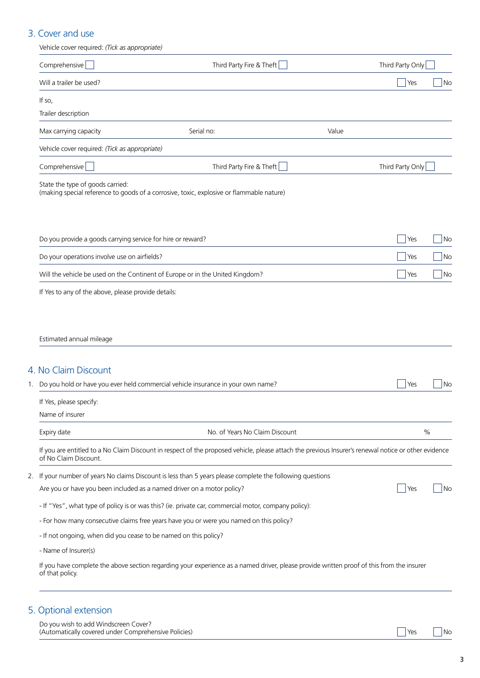## 3. Cover and use

| Vehicle cover required: (Tick as appropriate)                    |                                                                                                                                                      |                  |                          |
|------------------------------------------------------------------|------------------------------------------------------------------------------------------------------------------------------------------------------|------------------|--------------------------|
| Comprehensive                                                    | Third Party Fire & Theft                                                                                                                             | Third Party Only |                          |
| Will a trailer be used?                                          |                                                                                                                                                      | Yes              | No                       |
| If so,                                                           |                                                                                                                                                      |                  |                          |
| Trailer description                                              |                                                                                                                                                      |                  |                          |
| Max carrying capacity                                            | Serial no:                                                                                                                                           | Value            |                          |
| Vehicle cover required: (Tick as appropriate)                    |                                                                                                                                                      |                  |                          |
| Comprehensive                                                    | Third Party Fire & Theft                                                                                                                             | Third Party Only |                          |
| State the type of goods carried:                                 | (making special reference to goods of a corrosive, toxic, explosive or flammable nature)                                                             |                  |                          |
| Do you provide a goods carrying service for hire or reward?      |                                                                                                                                                      | Yes              | No                       |
| Do your operations involve use on airfields?                     |                                                                                                                                                      | Yes              | No                       |
|                                                                  | Will the vehicle be used on the Continent of Europe or in the United Kingdom?                                                                        | Yes              | $\overline{\mathsf{No}}$ |
| If Yes to any of the above, please provide details:              |                                                                                                                                                      |                  |                          |
| 4. No Claim Discount                                             | 1. Do you hold or have you ever held commercial vehicle insurance in your own name?                                                                  | Yes              | $\overline{\big }$ No    |
| If Yes, please specify:                                          |                                                                                                                                                      |                  |                          |
| Name of insurer                                                  |                                                                                                                                                      |                  |                          |
| Expiry date                                                      | No. of Years No Claim Discount                                                                                                                       | $\%$             |                          |
| of No Claim Discount.                                            | If you are entitled to a No Claim Discount in respect of the proposed vehicle, please attach the previous Insurer's renewal notice or other evidence |                  |                          |
| 2.                                                               | If your number of years No claims Discount is less than 5 years please complete the following questions                                              |                  |                          |
|                                                                  | Are you or have you been included as a named driver on a motor policy?                                                                               | Yes              | $\overline{\big }$ No    |
|                                                                  | - If "Yes", what type of policy is or was this? (ie. private car, commercial motor, company policy):                                                 |                  |                          |
|                                                                  | - For how many consecutive claims free years have you or were you named on this policy?                                                              |                  |                          |
|                                                                  |                                                                                                                                                      |                  |                          |
| - If not ongoing, when did you cease to be named on this policy? |                                                                                                                                                      |                  |                          |
| - Name of Insurer(s)                                             | If you have complete the above section regarding your experience as a named driver, please provide written proof of this from the insurer            |                  |                          |

## 5. Optional extension

Do you wish to add Windscreen Cover? (Automatically covered under Comprehensive Policies) Notified the North Company of the North Company of the North Company of the North Company of the North Company of the North Company of the North Company of the North Com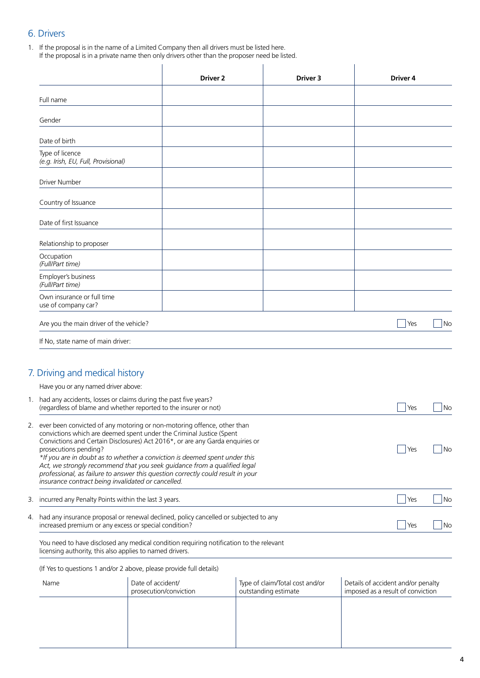## 6. Drivers

1. If the proposal is in the name of a Limited Company then all drivers must be listed here. If the proposal is in a private name then only drivers other than the proposer need be listed.

|    |                                                                                                                                                       | Driver 2                                                                                                                                                                                                                                  |  | Driver 3                                                |  | <b>Driver 4</b>                                                         |    |
|----|-------------------------------------------------------------------------------------------------------------------------------------------------------|-------------------------------------------------------------------------------------------------------------------------------------------------------------------------------------------------------------------------------------------|--|---------------------------------------------------------|--|-------------------------------------------------------------------------|----|
|    | Full name                                                                                                                                             |                                                                                                                                                                                                                                           |  |                                                         |  |                                                                         |    |
|    | Gender                                                                                                                                                |                                                                                                                                                                                                                                           |  |                                                         |  |                                                                         |    |
|    | Date of birth                                                                                                                                         |                                                                                                                                                                                                                                           |  |                                                         |  |                                                                         |    |
|    | Type of licence<br>(e.g. Irish, EU, Full, Provisional)                                                                                                |                                                                                                                                                                                                                                           |  |                                                         |  |                                                                         |    |
|    | Driver Number                                                                                                                                         |                                                                                                                                                                                                                                           |  |                                                         |  |                                                                         |    |
|    | Country of Issuance                                                                                                                                   |                                                                                                                                                                                                                                           |  |                                                         |  |                                                                         |    |
|    | Date of first Issuance                                                                                                                                |                                                                                                                                                                                                                                           |  |                                                         |  |                                                                         |    |
|    | Relationship to proposer                                                                                                                              |                                                                                                                                                                                                                                           |  |                                                         |  |                                                                         |    |
|    | Occupation<br>(Full/Part time)                                                                                                                        |                                                                                                                                                                                                                                           |  |                                                         |  |                                                                         |    |
|    | Employer's business<br>(Full/Part time)                                                                                                               |                                                                                                                                                                                                                                           |  |                                                         |  |                                                                         |    |
|    | Own insurance or full time<br>use of company car?                                                                                                     |                                                                                                                                                                                                                                           |  |                                                         |  |                                                                         |    |
|    | Are you the main driver of the vehicle?                                                                                                               |                                                                                                                                                                                                                                           |  |                                                         |  | Yes                                                                     | No |
|    | If No, state name of main driver:                                                                                                                     |                                                                                                                                                                                                                                           |  |                                                         |  |                                                                         |    |
|    |                                                                                                                                                       |                                                                                                                                                                                                                                           |  |                                                         |  |                                                                         |    |
|    | 7. Driving and medical history<br>Have you or any named driver above:                                                                                 |                                                                                                                                                                                                                                           |  |                                                         |  |                                                                         |    |
|    | 1. had any accidents, losses or claims during the past five years?                                                                                    | (regardless of blame and whether reported to the insurer or not)                                                                                                                                                                          |  |                                                         |  | Yes                                                                     | No |
|    |                                                                                                                                                       | ever been convicted of any motoring or non-motoring offence, other than                                                                                                                                                                   |  |                                                         |  |                                                                         |    |
|    | convictions which are deemed spent under the Criminal Justice (Spent<br>Convictions and Certain Disclosures) Act 2016*, or are any Garda enquiries or |                                                                                                                                                                                                                                           |  |                                                         |  |                                                                         |    |
|    | prosecutions pending?<br>insurance contract being invalidated or cancelled.                                                                           | *If you are in doubt as to whether a conviction is deemed spent under this<br>Act, we strongly recommend that you seek guidance from a qualified legal<br>professional, as failure to answer this question correctly could result in your |  |                                                         |  | Yes                                                                     | No |
| 3. | incurred any Penalty Points within the last 3 years.                                                                                                  |                                                                                                                                                                                                                                           |  |                                                         |  | Yes                                                                     | No |
| 4. | increased premium or any excess or special condition?                                                                                                 | had any insurance proposal or renewal declined, policy cancelled or subjected to any                                                                                                                                                      |  |                                                         |  | Yes                                                                     | No |
|    | You need to have disclosed any medical condition requiring notification to the relevant<br>licensing authority, this also applies to named drivers.   |                                                                                                                                                                                                                                           |  |                                                         |  |                                                                         |    |
|    | (If Yes to questions 1 and/or 2 above, please provide full details)                                                                                   |                                                                                                                                                                                                                                           |  |                                                         |  |                                                                         |    |
|    | Name                                                                                                                                                  | Date of accident/<br>prosecution/conviction                                                                                                                                                                                               |  | Type of claim/Total cost and/or<br>outstanding estimate |  | Details of accident and/or penalty<br>imposed as a result of conviction |    |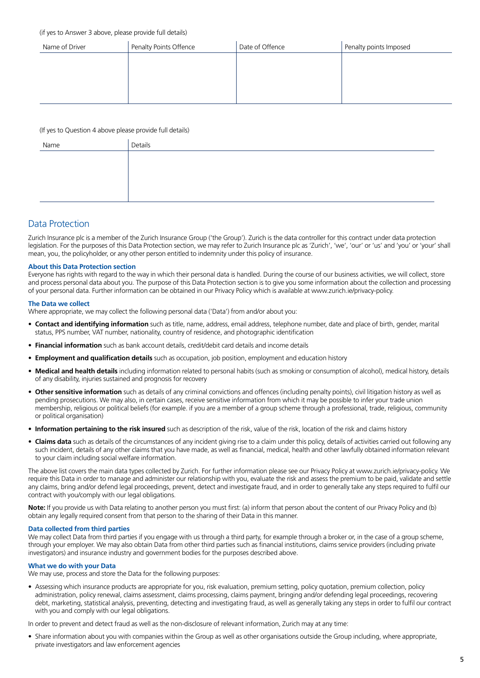#### (if yes to Answer 3 above, please provide full details)

| Name of Driver | Penalty Points Offence | Date of Offence | Penalty points Imposed |
|----------------|------------------------|-----------------|------------------------|
|                |                        |                 |                        |
|                |                        |                 |                        |
|                |                        |                 |                        |
|                |                        |                 |                        |

#### (If yes to Question 4 above please provide full details)

| Name | Details |
|------|---------|
|      |         |
|      |         |
|      |         |
|      |         |

#### Data Protection

Zurich Insurance plc is a member of the Zurich Insurance Group ('the Group'). Zurich is the data controller for this contract under data protection legislation. For the purposes of this Data Protection section, we may refer to Zurich Insurance plc as 'Zurich', 'we', 'our' or 'us' and 'you' or 'your' shall mean, you, the policyholder, or any other person entitled to indemnity under this policy of insurance.

#### **About this Data Protection section**

Everyone has rights with regard to the way in which their personal data is handled. During the course of our business activities, we will collect, store and process personal data about you. The purpose of this Data Protection section is to give you some information about the collection and processing of your personal data. Further information can be obtained in our Privacy Policy which is available at www.zurich.ie/privacy-policy.

#### **The Data we collect**

Where appropriate, we may collect the following personal data ('Data') from and/or about you:

- **Contact and identifying information** such as title, name, address, email address, telephone number, date and place of birth, gender, marital status, PPS number, VAT number, nationality, country of residence, and photographic identification
- **Financial information** such as bank account details, credit/debit card details and income details
- **Employment and qualification details** such as occupation, job position, employment and education history
- **Medical and health details** including information related to personal habits (such as smoking or consumption of alcohol), medical history, details of any disability, injuries sustained and prognosis for recovery
- **• Other sensitive information** such as details of any criminal convictions and offences (including penalty points), civil litigation history as well as pending prosecutions. We may also, in certain cases, receive sensitive information from which it may be possible to infer your trade union membership, religious or political beliefs (for example. if you are a member of a group scheme through a professional, trade, religious, community or political organisation)
- Information pertaining to the risk insured such as description of the risk, value of the risk, location of the risk and claims history
- **Claims data** such as details of the circumstances of any incident giving rise to a claim under this policy, details of activities carried out following any such incident, details of any other claims that you have made, as well as financial, medical, health and other lawfully obtained information relevant to your claim including social welfare information.

The above list covers the main data types collected by Zurich. For further information please see our Privacy Policy at www.zurich.ie/privacy-policy. We require this Data in order to manage and administer our relationship with you, evaluate the risk and assess the premium to be paid, validate and settle any claims, bring and/or defend legal proceedings, prevent, detect and investigate fraud, and in order to generally take any steps required to fulfil our contract with you/comply with our legal obligations.

**Note:** If you provide us with Data relating to another person you must first: (a) inform that person about the content of our Privacy Policy and (b) obtain any legally required consent from that person to the sharing of their Data in this manner.

#### **Data collected from third parties**

We may collect Data from third parties if you engage with us through a third party, for example through a broker or, in the case of a group scheme, through your employer. We may also obtain Data from other third parties such as financial institutions, claims service providers (including private investigators) and insurance industry and government bodies for the purposes described above.

#### **What we do with your Data**

We may use, process and store the Data for the following purposes:

• Assessing which insurance products are appropriate for you, risk evaluation, premium setting, policy quotation, premium collection, policy administration, policy renewal, claims assessment, claims processing, claims payment, bringing and/or defending legal proceedings, recovering debt, marketing, statistical analysis, preventing, detecting and investigating fraud, as well as generally taking any steps in order to fulfil our contract with you and comply with our legal obligations.

In order to prevent and detect fraud as well as the non-disclosure of relevant information, Zurich may at any time:

• Share information about you with companies within the Group as well as other organisations outside the Group including, where appropriate, private investigators and law enforcement agencies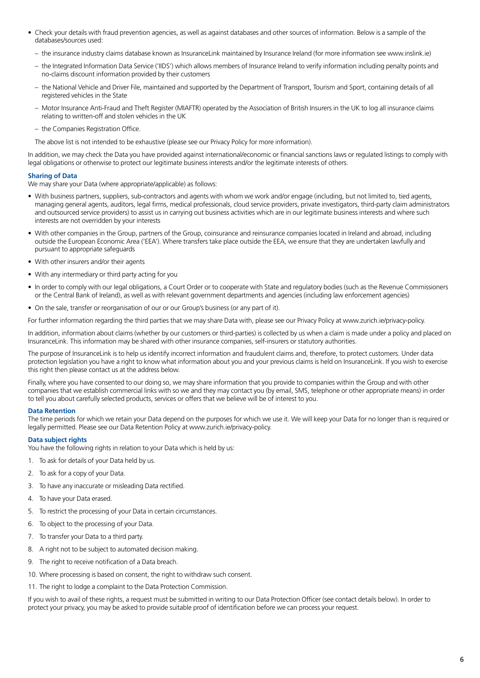- Check your details with fraud prevention agencies, as well as against databases and other sources of information. Below is a sample of the databases/sources used:
	- the insurance industry claims database known as InsuranceLink maintained by Insurance Ireland (for more information see www.inslink.ie)
	- the Integrated Information Data Service ('IIDS') which allows members of Insurance Ireland to verify information including penalty points and no-claims discount information provided by their customers
	- the National Vehicle and Driver File, maintained and supported by the Department of Transport, Tourism and Sport, containing details of all registered vehicles in the State
	- Motor Insurance Anti-Fraud and Theft Register (MIAFTR) operated by the Association of British Insurers in the UK to log all insurance claims relating to written-off and stolen vehicles in the UK
	- the Companies Registration Office.
	- The above list is not intended to be exhaustive (please see our Privacy Policy for more information).

In addition, we may check the Data you have provided against international/economic or financial sanctions laws or regulated listings to comply with legal obligations or otherwise to protect our legitimate business interests and/or the legitimate interests of others.

#### **Sharing of Data**

We may share your Data (where appropriate/applicable) as follows:

- With business partners, suppliers, sub-contractors and agents with whom we work and/or engage (including, but not limited to, tied agents, managing general agents, auditors, legal firms, medical professionals, cloud service providers, private investigators, third-party claim administrators and outsourced service providers) to assist us in carrying out business activities which are in our legitimate business interests and where such interests are not overridden by your interests
- With other companies in the Group, partners of the Group, coinsurance and reinsurance companies located in Ireland and abroad, including outside the European Economic Area ('EEA'). Where transfers take place outside the EEA, we ensure that they are undertaken lawfully and pursuant to appropriate safeguards
- With other insurers and/or their agents
- With any intermediary or third party acting for you
- In order to comply with our legal obligations, a Court Order or to cooperate with State and regulatory bodies (such as the Revenue Commissioners or the Central Bank of Ireland), as well as with relevant government departments and agencies (including law enforcement agencies)
- On the sale, transfer or reorganisation of our or our Group's business (or any part of it).

For further information regarding the third parties that we may share Data with, please see our Privacy Policy at www.zurich.ie/privacy-policy.

In addition, information about claims (whether by our customers or third-parties) is collected by us when a claim is made under a policy and placed on InsuranceLink. This information may be shared with other insurance companies, self-insurers or statutory authorities.

The purpose of InsuranceLink is to help us identify incorrect information and fraudulent claims and, therefore, to protect customers. Under data protection legislation you have a right to know what information about you and your previous claims is held on InsuranceLink. If you wish to exercise this right then please contact us at the address below.

Finally, where you have consented to our doing so, we may share information that you provide to companies within the Group and with other companies that we establish commercial links with so we and they may contact you (by email, SMS, telephone or other appropriate means) in order to tell you about carefully selected products, services or offers that we believe will be of interest to you.

#### **Data Retention**

The time periods for which we retain your Data depend on the purposes for which we use it. We will keep your Data for no longer than is required or legally permitted. Please see our Data Retention Policy at www.zurich.ie/privacy-policy.

#### **Data subject rights**

You have the following rights in relation to your Data which is held by us:

- 1. To ask for details of your Data held by us.
- 2. To ask for a copy of your Data.
- 3. To have any inaccurate or misleading Data rectified.
- 4. To have your Data erased.
- 5. To restrict the processing of your Data in certain circumstances.
- 6. To object to the processing of your Data.
- 7. To transfer your Data to a third party.
- 8. A right not to be subject to automated decision making.
- 9. The right to receive notification of a Data breach.
- 10. Where processing is based on consent, the right to withdraw such consent.
- 11. The right to lodge a complaint to the Data Protection Commission.

If you wish to avail of these rights, a request must be submitted in writing to our Data Protection Officer (see contact details below). In order to protect your privacy, you may be asked to provide suitable proof of identification before we can process your request.